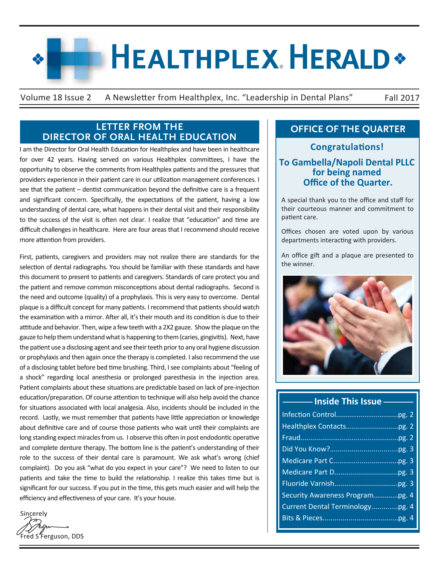# **HEALTHPLEX HERALD\***

Volume 18 Issue 2 A Newsletter from Healthplex, Inc. "Leadership in Dental Plans" Fall 2017

## **LETTER FROM THE DIRECTOR OF ORAL HEALTH EDUCATION**

I am the Director for Oral Health Education for Healthplex and have been in healthcare for over 42 years. Having served on various Healthplex committees, I have the opportunity to observe the comments from Healthplex patients and the pressures that providers experience in their patient care in our utilization management conferences. I see that the patient – dentist communication beyond the definitive care is a frequent and significant concern. Specifically, the expectations of the patient, having a low understanding of dental care, what happens in their dental visit and their responsibility to the success of the visit is often not clear. I realize that "education" and time are difficult challenges in healthcare. Here are four areas that I recommend should receive more attention from providers.

First, patients, caregivers and providers may not realize there are standards for the selection of dental radiographs. You should be familiar with these standards and have this document to present to patients and caregivers. Standards of care protect you and the patient and remove common misconceptions about dental radiographs. Second is the need and outcome (quality) of a prophylaxis. This is very easy to overcome. Dental plaque is a difficult concept for many patients. I recommend that patients should watch the examination with a mirror. After all, it's their mouth and its condition is due to their attitude and behavior. Then, wipe a few teeth with a 2X2 gauze. Show the plaque on the gauze to help them understand what is happening to them (caries, gingivitis). Next, have the patient use a disclosing agent and see their teeth prior to any oral hygiene discussion or prophylaxis and then again once the therapy is completed. I also recommend the use of a disclosing tablet before bed time brushing. Third, I see complaints about "feeling of a shock" regarding local anesthesia or prolonged paresthesia in the injection area. Patient complaints about these situations are predictable based on lack of pre-injection education/preparation. Of course attention to technique will also help avoid the chance for situations associated with local analgesia. Also, incidents should be included in the record. Lastly, we must remember that patients have little appreciation or knowledge about definitive care and of course those patients who wait until their complaints are long standing expect miracles from us. I observe this often in post endodontic operative and complete denture therapy. The bottom line is the patient's understanding of their role to the success of their dental care is paramount. We ask what's wrong (chief complaint). Do you ask "what do you expect in your care"? We need to listen to our patients and take the time to build the relationship. I realize this takes time but is significant for our success. If you put in the time, this gets much easier and will help the efficiency and effectiveness of your care. It's your house.

**Sincerely** red S<sup>'</sup>Ferguson, DDS

# **OFFICE OF THE QUARTER**

**To Gambella/Napoli Dental PLLC for being named Office of the Quarter. Congratulations!**

A special thank you to the office and staff for their courteous manner and commitment to patient care.

Offices chosen are voted upon by various departments interacting with providers.

An office gift and a plaque are presented to the winner.



#### **Inside This Issue**

| Security Awareness Program pg. 4 |  |
|----------------------------------|--|
| Current Dental Terminologypg. 4  |  |
|                                  |  |
|                                  |  |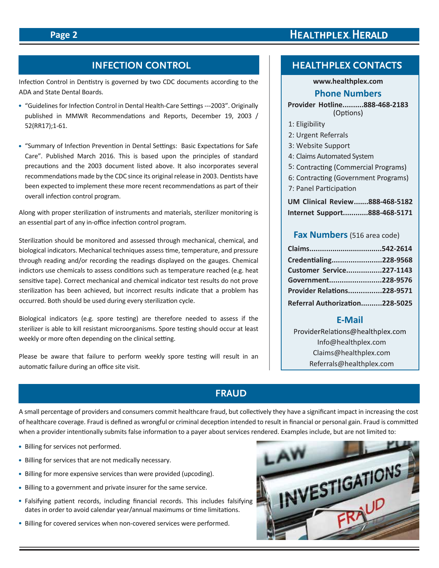# **HEALTHPLEX HERALD**

# **INFECTION CONTROL**

Infection Control in Dentistry is governed by two CDC documents according to the ADA and State Dental Boards.

- "Guidelines for Infection Control in Dental Health-Care Settings ---2003". Originally published in MMWR Recommendations and Reports, December 19, 2003 / 52(RR17);1-61.
- "Summary of Infection Prevention in Dental Settings: Basic Expectations for Safe Care". Published March 2016. This is based upon the principles of standard precautions and the 2003 document listed above. It also incorporates several recommendations made by the CDC since its original release in 2003. Dentists have been expected to implement these more recent recommendations as part of their overall infection control program.

Along with proper sterilization of instruments and materials, sterilizer monitoring is an essential part of any in-office infection control program.

Sterilization should be monitored and assessed through mechanical, chemical, and biological indicators. Mechanical techniques assess time, temperature, and pressure through reading and/or recording the readings displayed on the gauges. Chemical indictors use chemicals to assess conditions such as temperature reached (e.g. heat sensitive tape). Correct mechanical and chemical indicator test results do not prove sterilization has been achieved, but incorrect results indicate that a problem has occurred. Both should be used during every sterilization cycle.

Biological indicators (e.g. spore testing) are therefore needed to assess if the sterilizer is able to kill resistant microorganisms. Spore testing should occur at least weekly or more often depending on the clinical setting.

Please be aware that failure to perform weekly spore testing will result in an automatic failure during an office site visit.

# **HEALTHPLEX CONTACTS**

#### **www.healthplex.com**

#### **Phone Numbers**

# **Provider Hotline..........888-468-2183**

- 1: Eligibility
- 2: Urgent Referrals
- 3: Website Support
- 4: Claims Automated System
- 5: Contracting (Commercial Programs)
- 6: Contracting (Government Programs)
- 7: Panel Participation

**UM Clinical Review.......888-468-5182 Internet Support............888-468-5171**

#### **Fax Numbers**(516 area code)

| Credentialing228-9568             |  |
|-----------------------------------|--|
| Customer Service227-1143          |  |
| Government228-9576                |  |
| <b>Provider Relations228-9571</b> |  |
| Referral Authorization228-5025    |  |

#### **E-Mail**

ProviderRelations@healthplex.com Info@healthplex.com Claims@healthplex.com Referrals@healthplex.com

# **FRAUD**

A small percentage of providers and consumers commit healthcare fraud, but collectively they have a significant impact in increasing the cost of healthcare coverage. Fraud is defined as wrongful or criminal deception intended to result in financial or personal gain. Fraud is committed when a provider intentionally submits false information to a payer about services rendered. Examples include, but are not limited to:

- Billing for services not performed.
- Billing for services that are not medically necessary.
- Billing for more expensive services than were provided (upcoding).
- Billing to a government and private insurer for the same service.
- Falsifying patient records, including financial records. This includes falsifying dates in order to avoid calendar year/annual maximums or time limitations.
- Billing for covered services when non-covered services were performed.

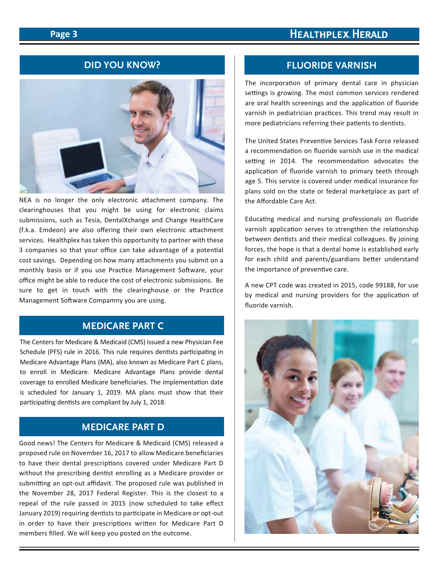#### **Page 3**

# **HEALTHPLEX HERALD**

#### **DID YOU KNOW?**



NEA is no longer the only electronic attachment company. The clearinghouses that you might be using for electronic claims submissions, such as Tesia, DentalXchange and Change HealthCare (f.k.a. Emdeon) are also offering their own electronic attachment services. Healthplex has taken this opportunity to partner with these 3 companies so that your office can take advantage of a potential cost savings. Depending on how many attachments you submit on a monthly basis or if you use Practice Management Software, your office might be able to reduce the cost of electronic submissions. Be sure to get in touch with the clearinghouse or the Practice Management Software Compamny you are using.

#### **MEDICARE PART C**

The Centers for Medicare & Medicaid (CMS) issued a new Physician Fee Schedule (PFS) rule in 2016. This rule requires dentists participating in Medicare Advantage Plans (MA), also known as Medicare Part C plans, to enroll in Medicare. Medicare Advantage Plans provide dental coverage to enrolled Medicare beneficiaries. The implementation date is scheduled for January 1, 2019. MA plans must show that their participating dentists are compliant by July 1, 2018.

# **MEDICARE PART D**

Good news! The Centers for Medicare & Medicaid (CMS) released a proposed rule on November 16, 2017 to allow Medicare beneficiaries to have their dental prescriptions covered under Medicare Part D without the prescribing dentist enrolling as a Medicare provider or submitting an opt-out affidavit. The proposed rule was published in the November 28, 2017 Federal Register. This is the closest to a repeal of the rule passed in 2015 (now scheduled to take effect January 2019) requiring dentists to participate in Medicare or opt-out in order to have their prescriptions written for Medicare Part D members filled. We will keep you posted on the outcome.

#### **FLUORIDE VARNISH**

The incorporation of primary dental care in physician settings is growing. The most common services rendered are oral health screenings and the application of fluoride varnish in pediatrician practices. This trend may result in more pediatricians referring their patients to dentists.

The United States Preventive Services Task Force released a recommendation on fluoride varnish use in the medical setting in 2014. The recommendation advocates the application of fluoride varnish to primary teeth through age 5. This service is covered under medical insurance for plans sold on the state or federal marketplace as part of the Affordable Care Act.

Educating medical and nursing professionals on fluoride varnish application serves to strengthen the relationship between dentists and their medical colleagues. By joining forces, the hope is that a dental home is established early for each child and parents/guardians better understand the importance of preventive care.

A new CPT code was created in 2015, code 99188, for use by medical and nursing providers for the application of fluoride varnish.